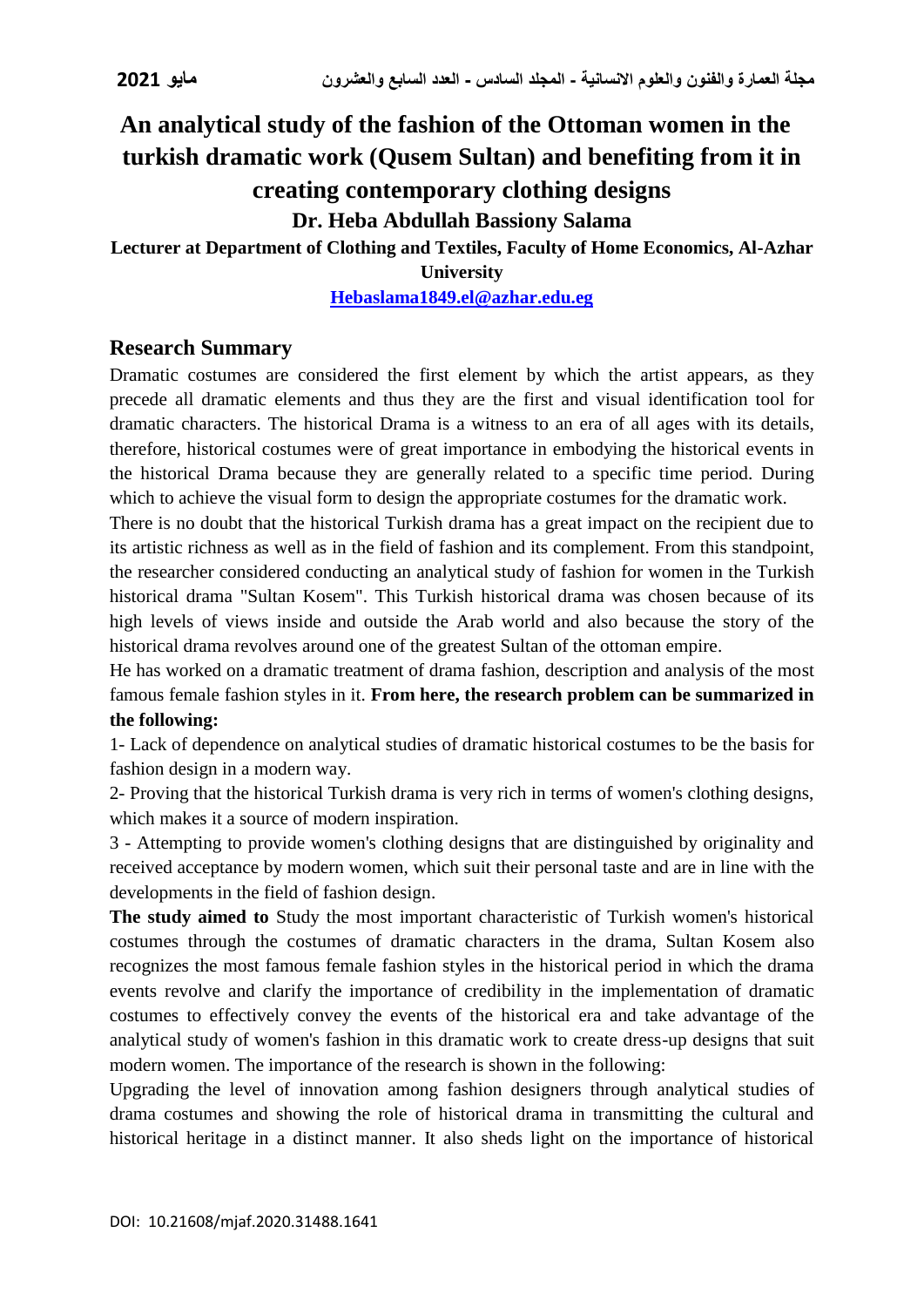# **An analytical study of the fashion of the Ottoman women in the turkish dramatic work (Qusem Sultan) and benefiting from it in creating contemporary clothing designs Dr. Heba Abdullah Bassiony Salama**

# **Lecturer at Department of Clothing and Textiles, Faculty of Home Economics, Al-Azhar**

**University**

**[Hebaslama1849.el@azhar.edu.eg](mailto:Hebaslama1849.el@azhar.edu.eg)**

# **Research Summary**

Dramatic costumes are considered the first element by which the artist appears, as they precede all dramatic elements and thus they are the first and visual identification tool for dramatic characters. The historical Drama is a witness to an era of all ages with its details, therefore, historical costumes were of great importance in embodying the historical events in the historical Drama because they are generally related to a specific time period. During which to achieve the visual form to design the appropriate costumes for the dramatic work.

There is no doubt that the historical Turkish drama has a great impact on the recipient due to its artistic richness as well as in the field of fashion and its complement. From this standpoint, the researcher considered conducting an analytical study of fashion for women in the Turkish historical drama "Sultan Kosem". This Turkish historical drama was chosen because of its high levels of views inside and outside the Arab world and also because the story of the historical drama revolves around one of the greatest Sultan of the ottoman empire.

He has worked on a dramatic treatment of drama fashion, description and analysis of the most famous female fashion styles in it. **From here, the research problem can be summarized in the following:**

1- Lack of dependence on analytical studies of dramatic historical costumes to be the basis for fashion design in a modern way.

2- Proving that the historical Turkish drama is very rich in terms of women's clothing designs, which makes it a source of modern inspiration.

3 - Attempting to provide women's clothing designs that are distinguished by originality and received acceptance by modern women, which suit their personal taste and are in line with the developments in the field of fashion design.

**The study aimed to** Study the most important characteristic of Turkish women's historical costumes through the costumes of dramatic characters in the drama, Sultan Kosem also recognizes the most famous female fashion styles in the historical period in which the drama events revolve and clarify the importance of credibility in the implementation of dramatic costumes to effectively convey the events of the historical era and take advantage of the analytical study of women's fashion in this dramatic work to create dress-up designs that suit modern women. The importance of the research is shown in the following:

Upgrading the level of innovation among fashion designers through analytical studies of drama costumes and showing the role of historical drama in transmitting the cultural and historical heritage in a distinct manner. It also sheds light on the importance of historical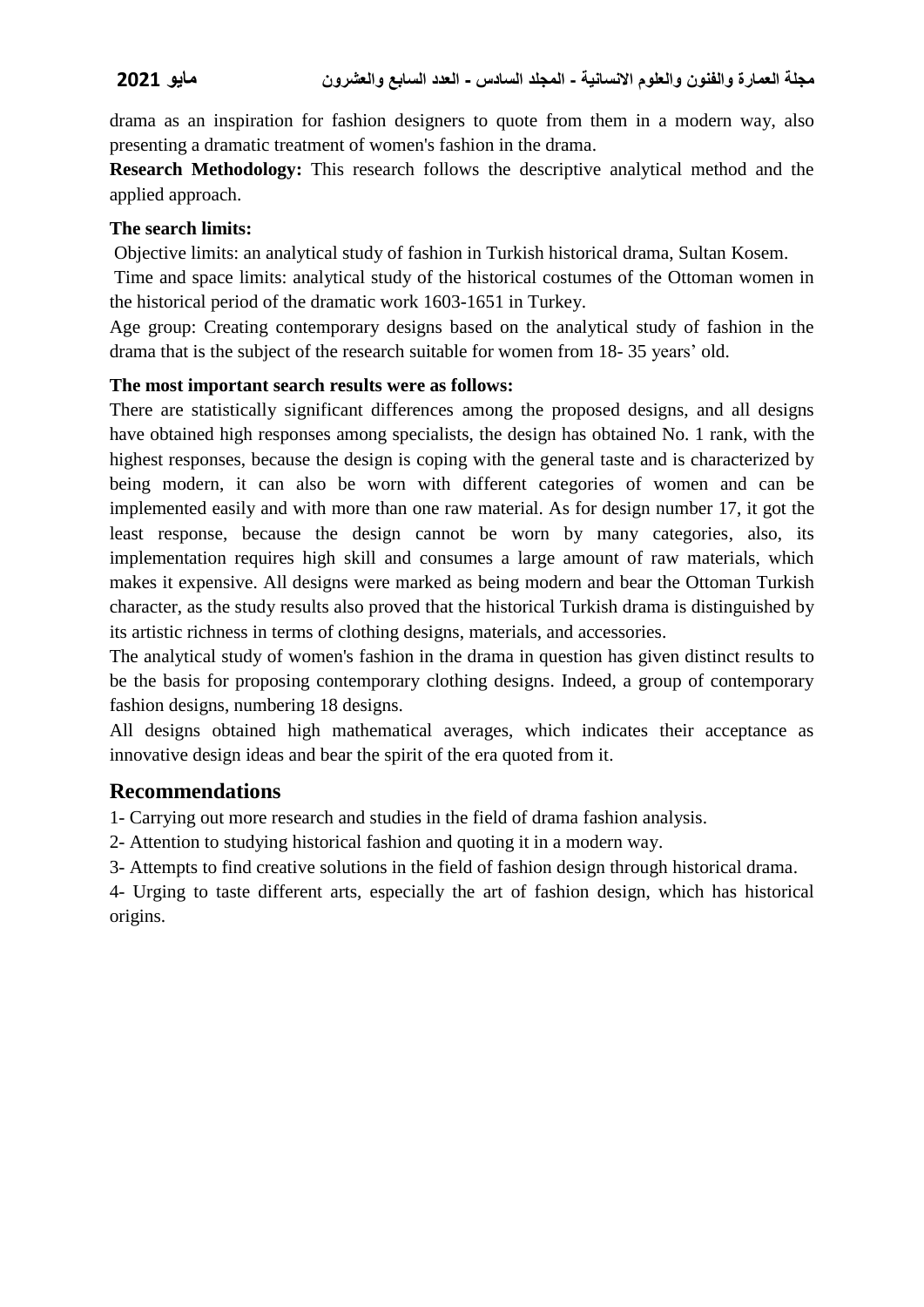drama as an inspiration for fashion designers to quote from them in a modern way, also presenting a dramatic treatment of women's fashion in the drama.

**Research Methodology:** This research follows the descriptive analytical method and the applied approach.

#### **The search limits:**

Objective limits: an analytical study of fashion in Turkish historical drama, Sultan Kosem.

Time and space limits: analytical study of the historical costumes of the Ottoman women in the historical period of the dramatic work 1603-1651 in Turkey.

Age group: Creating contemporary designs based on the analytical study of fashion in the drama that is the subject of the research suitable for women from 18- 35 years' old.

### **The most important search results were as follows:**

There are statistically significant differences among the proposed designs, and all designs have obtained high responses among specialists, the design has obtained No. 1 rank, with the highest responses, because the design is coping with the general taste and is characterized by being modern, it can also be worn with different categories of women and can be implemented easily and with more than one raw material. As for design number 17, it got the least response, because the design cannot be worn by many categories, also, its implementation requires high skill and consumes a large amount of raw materials, which makes it expensive. All designs were marked as being modern and bear the Ottoman Turkish character, as the study results also proved that the historical Turkish drama is distinguished by its artistic richness in terms of clothing designs, materials, and accessories.

The analytical study of women's fashion in the drama in question has given distinct results to be the basis for proposing contemporary clothing designs. Indeed, a group of contemporary fashion designs, numbering 18 designs.

All designs obtained high mathematical averages, which indicates their acceptance as innovative design ideas and bear the spirit of the era quoted from it.

# **Recommendations**

1- Carrying out more research and studies in the field of drama fashion analysis.

2- Attention to studying historical fashion and quoting it in a modern way.

3- Attempts to find creative solutions in the field of fashion design through historical drama.

4- Urging to taste different arts, especially the art of fashion design, which has historical origins.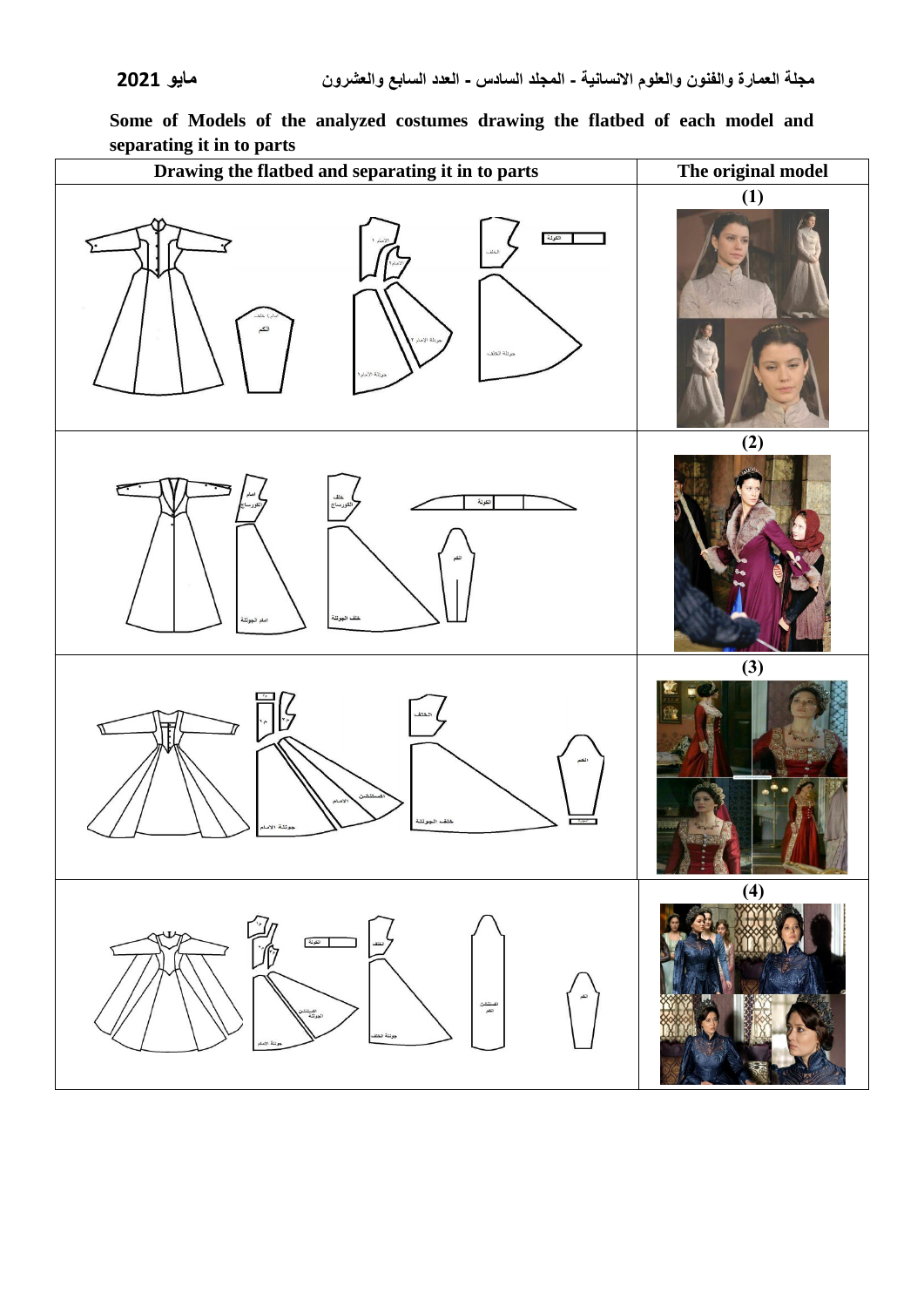

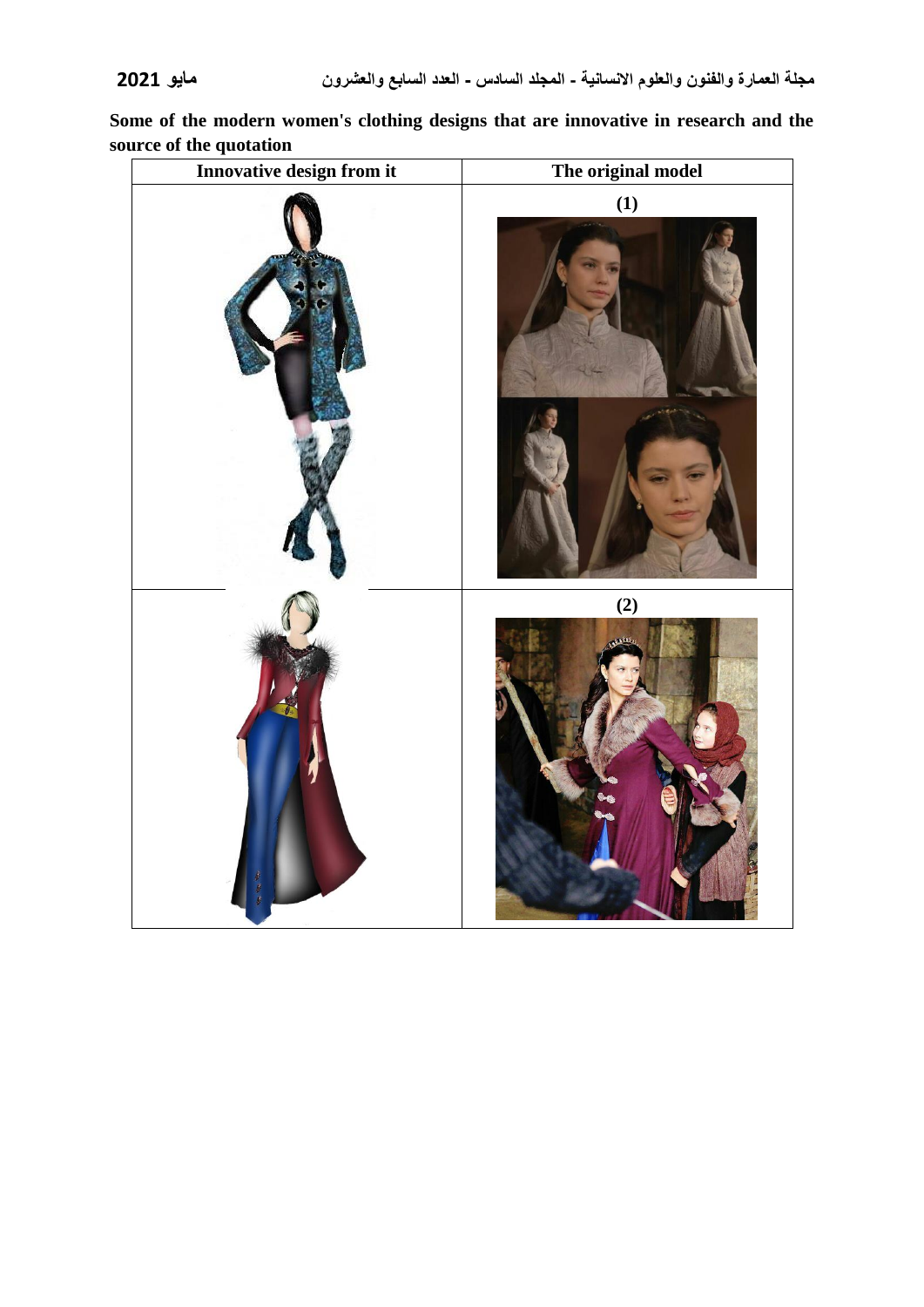**Some of the modern women's clothing designs that are innovative in research and the source of the quotation**